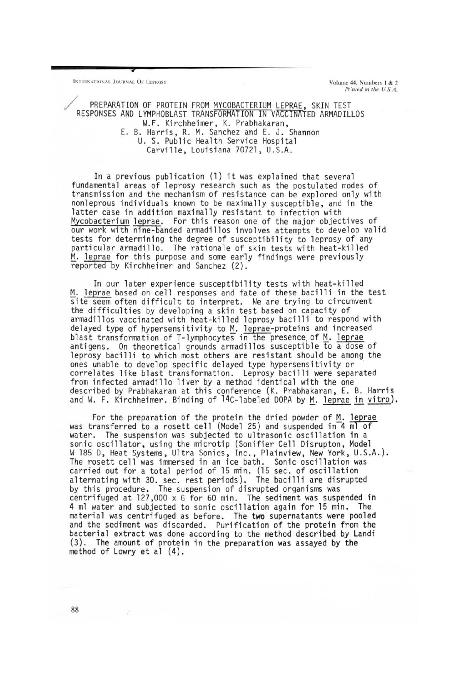INTERNATIONAL JOURNAL OF LEPROSY **Supply and AL AT ION AT ION AT ION AT ION AT ION AT ION AT ION AT ION** 

**,** 

*Printed in the U.S.A.* 

PREPARATION OF PROTEIN FROM MYCOBACTERIUM LEPRAE, SKIN TEST RESPONSES AND LYMPHOBLAST TRANSFORMATION IN VACCINATED ARMADILLOS W.F. Kirchheimer, K. Prabhakaran, E. B. Harris, R. M. Sanchez and E. J. Shannon U. S. Public Health Service Hospital Carville, Louisiana 70721, U.S.A.

In a previous publication (1) it was explained that several fundamental areas of leprosy research such as the postulated modes of transmission and the mechanism of resistance can be explored only with nonleprous individuals known to be maximally susceptible, and in the latter case in addition maximally resistant to infection with Mycobacterium leprae. For this reason one of the major objectives of our work with nine-banded armadillos involves attempts to develop valid<br>tests for determining the degree of susceptibility to leprosy of any particular armadillo. The rationale of skin tests with heat-killed M. <u>leprae</u> for this purpose and some early findings were previously<br>reported by Kirchheimer and Sanchez (2).

In our later experience susceptibility tests with heat-killed M. leprae based on cell responses and fate of these bacilli in the test site seem often difficult to interpret. We are trying to circumvent the difficulties by developing a skin test based on capacity of armadillos vaccinated with heat-killed leprosy bacilli to respond with delayed type of hypersensitivity to M. leprae-proteins and increased blast transformation of T-lymphocytes in the presence of M. <u>leprae</u><br>antigens. On theoretical grounds armadillos susceptible to a dose of leprosy bacilli to which most others are resistant should be among the ones unable to develop specific delayed type hypersensitivity or correlates like blast transformation. Leprosy bacilli were separated<br>from infected armadillo liver by a method identical with the one described by Prabhakaran at this conference (K. Prabhakaran, E. B. Harris and W. F. Kirchheimer. Binding of  $14C$ -labeled DOPA by M. leprae in vitro).

For the preparation of the protein the dried powder of  $M$ . leprae was transferred to a rosett cell (Model 25) and suspended in 4 ml of water. The suspension was subjected to ultrasonic oscillation in a sonic oscillator, using the microtip (Sonifier Cell Disrupton, Model W 185 D, Heat Systems, Ultra Sonics, Inc., Plainview, New York, U.S.A.). The rosett cell was immersed in an ice bath. Sonic oscillation was carried out for a total period of 15 min. (15 sec. of oscillation alternating with 30. sec. rest periods). The bacilli are disrupted by this procedure. The suspension of disrupted organisms was centrifuged at 127,000 x G for 60 min. The sediment was suspended in 4 ml water and subjected to sonic oscillation again for 15 min. The material was centrifuged as before. The two supernatants were pooled and the sediment was discarded. Purification of the protein from the bacterial extract was done according to the method described by Landi (3). The amount of protein in the preparation was assayed by the method of Lowry et al (4).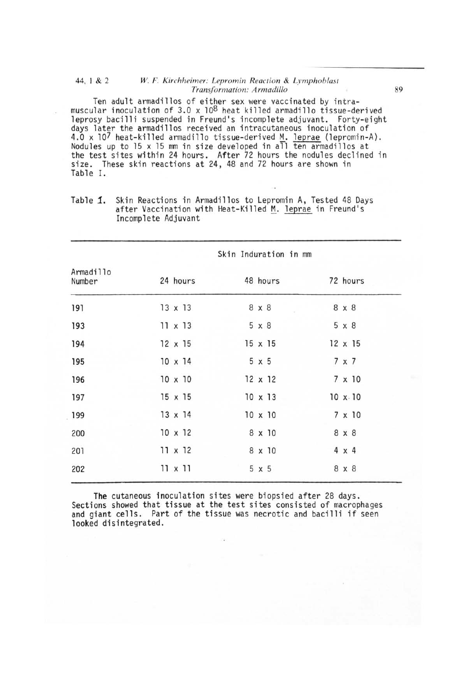## 44, I & 2 *W.* F. *Kirchheimer: Lepromin Reaction* & *Lymphoblast Transformation: Armadillo 89*

Ten adult armadillos of either sex were vaccinated by intramuscular inoculation of 3.0  $\times$  10<sup>8</sup> heat killed armadillo tissue-derived leprosy bacilli suspended in Freund's incomplete adjuvant. Forty-eight days later the armadillos received an intracutaneous inoculation of 4.0 x 107 heat-killed armadillo tissue-derived  $M$ . leprae (lepromin-A).<br>Nodules up to 15 x 15 mm in size developed in all ten armadillos at the test sites within 24 hours. After 72 hours the nodules declined in size. These skin reactions at 24, 48 and 72 hours are shown in Table I.

|                     | Skin Induration in mm |                |                |  |  |
|---------------------|-----------------------|----------------|----------------|--|--|
| Armadillo<br>Number | 24 hours              | 48 hours       | 72 hours       |  |  |
| 191                 | $13 \times 13$        | 8 x 8          | 8 x 8          |  |  |
| 193                 | $11 \times 13$        | 5 x 8          | $5 \times 8$   |  |  |
| 194                 | $12 \times 15$        | $15 \times 15$ | $12 \times 15$ |  |  |
| 195                 | $10 \times 14$        | $5 \times 5$   | 7 x 7          |  |  |
| 196                 | $10 \times 10$        | $12 \times 12$ | $7 \times 10$  |  |  |
| 197                 | $15 \times 15$        | $10 \times 13$ | 10 x.10        |  |  |
| 199                 | $13 \times 14$        | $10 \times 10$ | 7 x 10         |  |  |
| 200                 | $10 \times 12$        | 8 x 10         | 8 x 8          |  |  |
| 201                 | $11 \times 12$        | 8 x 10         | $4 \times 4$   |  |  |
| 202                 | $11 \times 11$        | $5 \times 5$   | 8 x 8          |  |  |

Table 1. Skin Reactions in Armadillos to Lepromin A, Tested 48 Days after Vaccination with Heat-Killed M. leprae in Freund's Incomplete Adjuvant

**The** cutaneous inoculation sites were biopsied after 28 days. Sections showed that tissue at the test sites consisted of macrophages and giant cells. Part of the tissue was necrotic and bacilli if seen looked disintegrated.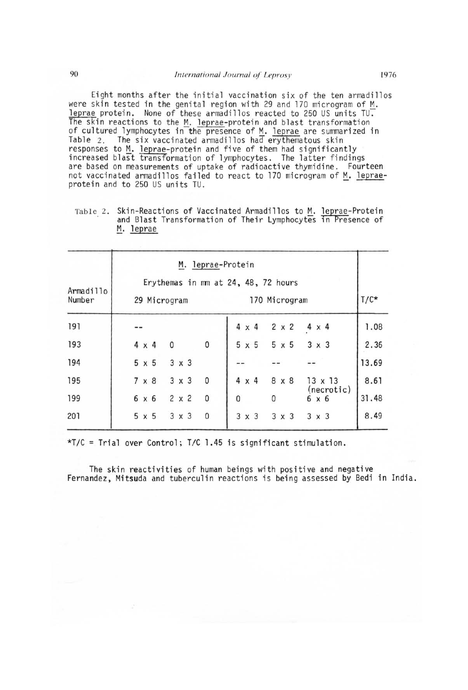Eight months after the initial vaccination six of the ten armadillos were skin tested in the genital region with 29 and 170 microgram of M.  $leprae$  protein. None of these armadillos reacted to 250 US units TU. The skin reactions to the  $M$ . leprae-protein and blast transformation of cultured lymphocytes in the presence of M. leprae are summarized in Table 2. The six vaccinated armadillos had erythematous skin responses to M. leprae-protein and five of them had significantly increased blast transformation of lymphocytes. The latter findings are based on measurements of uptake of radioactive thymidine. Fourteen not vaccinated armadillos failed to react to 170 microgram of  $M$ . leprae-<br>protein and to 250 US units TU.

Table 2. Skin-Reactions of Vaccinated Armadillos to M. leprae-Protein and Blast Transformation of Their Lymphocytes in Presence of M. leprae

| Armadillo<br>Number | M. leprae-Protein<br>Erythemas in mm at 24, 48, 72 hours<br>170 Microgram<br>29 Microgram |                   |                              |                     |       |
|---------------------|-------------------------------------------------------------------------------------------|-------------------|------------------------------|---------------------|-------|
| 191                 |                                                                                           |                   | $2 \times 2$<br>$4 \times 4$ | $4 \times 4$        | 1.08  |
| 193                 | $4 \times 4$                                                                              | 0<br>0            | $5 \times 5$<br>$5 \times 5$ | $3 \times 3$        | 2.36  |
| 194                 | $5 \times 5$                                                                              | $3 \times 3$      |                              |                     | 13.69 |
| 195                 | $7 \times 8$                                                                              | $3 \times 3$<br>0 | $4 \times 4$<br>8 x 8        | $13 \times 13$      | 8.61  |
| 199                 | 6 x 6                                                                                     | $2 \times 2$<br>0 | 0<br>0                       | (necrotic)<br>6 x 6 | 31.48 |
| 201                 | $5 \times 5$                                                                              | $3 \times 3$<br>0 | $3 \times 3$<br>$3 \times 3$ | $3 \times 3$        | 8.49  |

\*T/C = Trial over Control; *TIC* 1.45 is significant stimulation.

The skin reactivities of human beings with positive and negative Fernandez, Mitsuda and tuberculin reactions is being assessed by Bedi in India.